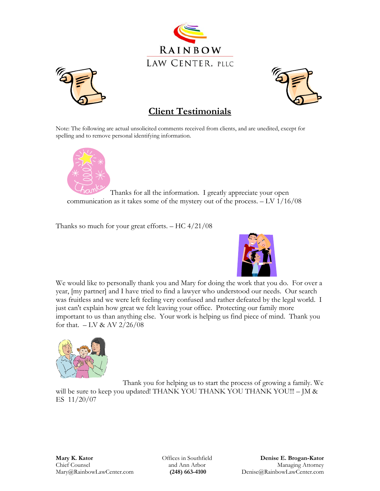





## **Client Testimonials**

Note: The following are actual unsolicited comments received from clients, and are unedited, except for spelling and to remove personal identifying information.



Thanks for all the information. I greatly appreciate your open communication as it takes some of the mystery out of the process. – LV 1/16/08

Thanks so much for your great efforts.  $-$  HC 4/21/08



 We would like to personally thank you and Mary for doing the work that you do. For over a year, [my partner] and I have tried to find a lawyer who understood our needs. Our search was fruitless and we were left feeling very confused and rather defeated by the legal world. I just can't explain how great we felt leaving your office. Protecting our family more important to us than anything else. Your work is helping us find piece of mind. Thank you for that.  $-$  LV & AV 2/26/08



 Thank you for helping us to start the process of growing a family. We will be sure to keep you updated! THANK YOU THANK YOU THANK YOU!!! - JM & ES 11/20/07

Offices in Southfield and Ann Arbor  **(248) 663-4100**